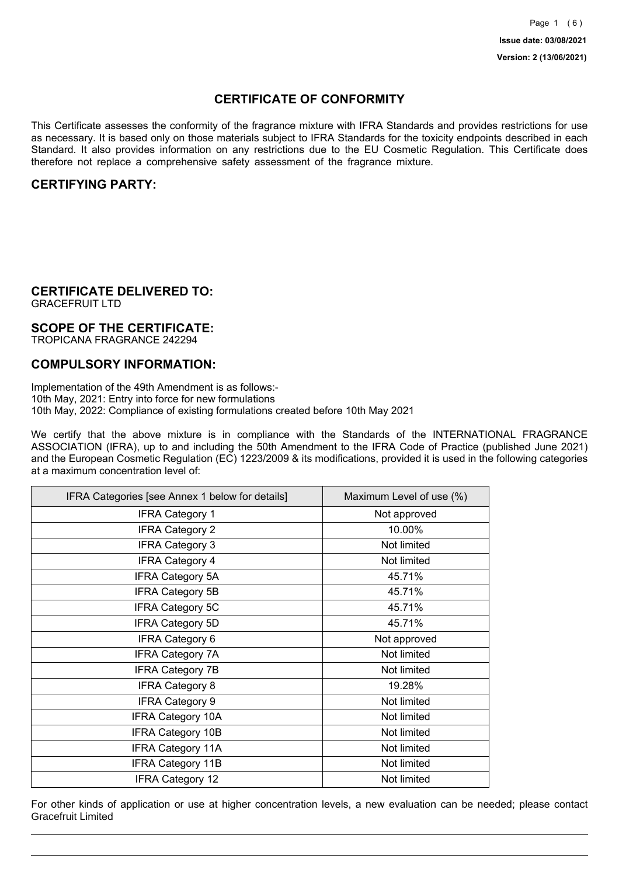## **CERTIFICATE OF CONFORMITY**

This Certificate assesses the conformity of the fragrance mixture with IFRA Standards and provides restrictions for use as necessary. It is based only on those materials subject to IFRA Standards for the toxicity endpoints described in each Standard. It also provides information on any restrictions due to the EU Cosmetic Regulation. This Certificate does therefore not replace a comprehensive safety assessment of the fragrance mixture.

## **CERTIFYING PARTY:**

## **CERTIFICATE DELIVERED TO:**

GRACEFRUIT LTD

### **SCOPE OF THE CERTIFICATE:**

TROPICANA FRAGRANCE 242294

## **COMPULSORY INFORMATION:**

Implementation of the 49th Amendment is as follows:- 10th May, 2021: Entry into force for new formulations 10th May, 2022: Compliance of existing formulations created before 10th May 2021

We certify that the above mixture is in compliance with the Standards of the INTERNATIONAL FRAGRANCE ASSOCIATION (IFRA), up to and including the 50th Amendment to the IFRA Code of Practice (published June 2021) and the European Cosmetic Regulation (EC) 1223/2009 & its modifications, provided it is used in the following categories at a maximum concentration level of:

| IFRA Categories [see Annex 1 below for details] | Maximum Level of use (%) |
|-------------------------------------------------|--------------------------|
| <b>IFRA Category 1</b>                          | Not approved             |
| <b>IFRA Category 2</b>                          | 10.00%                   |
| <b>IFRA Category 3</b>                          | Not limited              |
| <b>IFRA Category 4</b>                          | Not limited              |
| <b>IFRA Category 5A</b>                         | 45.71%                   |
| <b>IFRA Category 5B</b>                         | 45.71%                   |
| <b>IFRA Category 5C</b>                         | 45.71%                   |
| <b>IFRA Category 5D</b>                         | 45.71%                   |
| <b>IFRA Category 6</b>                          | Not approved             |
| <b>IFRA Category 7A</b>                         | Not limited              |
| <b>IFRA Category 7B</b>                         | Not limited              |
| <b>IFRA Category 8</b>                          | 19.28%                   |
| <b>IFRA Category 9</b>                          | Not limited              |
| <b>IFRA Category 10A</b>                        | Not limited              |
| <b>IFRA Category 10B</b>                        | Not limited              |
| <b>IFRA Category 11A</b>                        | Not limited              |
| <b>IFRA Category 11B</b>                        | Not limited              |
| <b>IFRA Category 12</b>                         | Not limited              |

For other kinds of application or use at higher concentration levels, a new evaluation can be needed; please contact Gracefruit Limited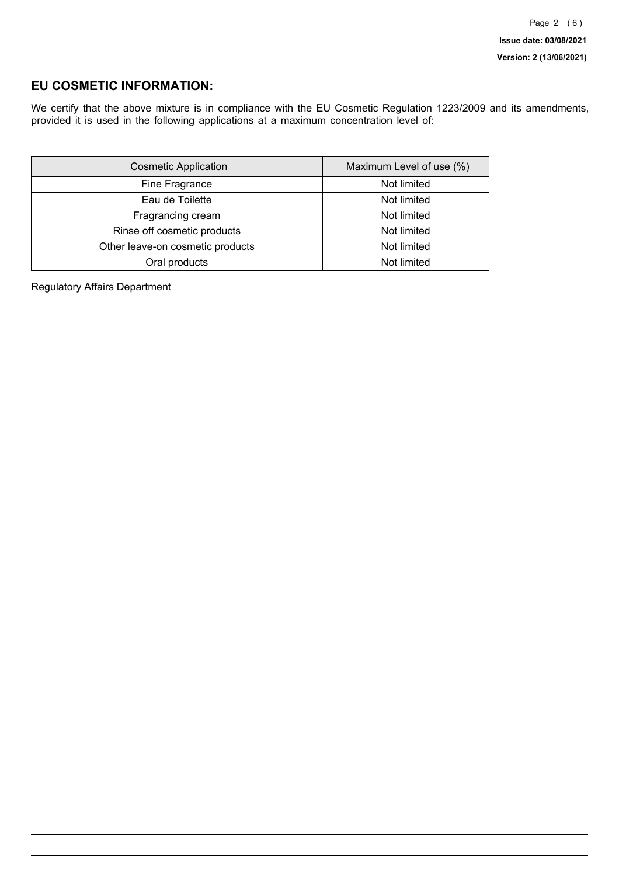## **EU COSMETIC INFORMATION:**

We certify that the above mixture is in compliance with the EU Cosmetic Regulation 1223/2009 and its amendments, provided it is used in the following applications at a maximum concentration level of:

| <b>Cosmetic Application</b>      | Maximum Level of use (%) |
|----------------------------------|--------------------------|
| Fine Fragrance                   | Not limited              |
| Eau de Toilette                  | Not limited              |
| Fragrancing cream                | Not limited              |
| Rinse off cosmetic products      | Not limited              |
| Other leave-on cosmetic products | Not limited              |
| Oral products                    | Not limited              |

Regulatory Affairs Department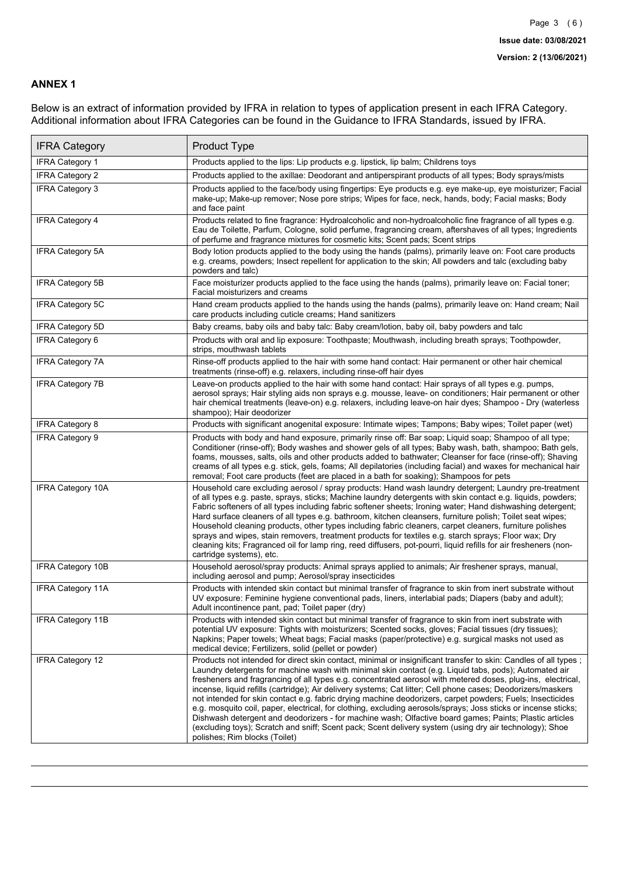### **ANNEX 1**

Below is an extract of information provided by IFRA in relation to types of application present in each IFRA Category. Additional information about IFRA Categories can be found in the Guidance to IFRA Standards, issued by IFRA.

| <b>IFRA Category</b>     | <b>Product Type</b>                                                                                                                                                                                                                                                                                                                                                                                                                                                                                                                                                                                                                                                                                                                                                                                                                                                                                                                          |
|--------------------------|----------------------------------------------------------------------------------------------------------------------------------------------------------------------------------------------------------------------------------------------------------------------------------------------------------------------------------------------------------------------------------------------------------------------------------------------------------------------------------------------------------------------------------------------------------------------------------------------------------------------------------------------------------------------------------------------------------------------------------------------------------------------------------------------------------------------------------------------------------------------------------------------------------------------------------------------|
| <b>IFRA Category 1</b>   | Products applied to the lips: Lip products e.g. lipstick, lip balm; Childrens toys                                                                                                                                                                                                                                                                                                                                                                                                                                                                                                                                                                                                                                                                                                                                                                                                                                                           |
| <b>IFRA Category 2</b>   | Products applied to the axillae: Deodorant and antiperspirant products of all types; Body sprays/mists                                                                                                                                                                                                                                                                                                                                                                                                                                                                                                                                                                                                                                                                                                                                                                                                                                       |
| IFRA Category 3          | Products applied to the face/body using fingertips: Eye products e.g. eye make-up, eye moisturizer; Facial<br>make-up; Make-up remover; Nose pore strips; Wipes for face, neck, hands, body; Facial masks; Body<br>and face paint                                                                                                                                                                                                                                                                                                                                                                                                                                                                                                                                                                                                                                                                                                            |
| <b>IFRA Category 4</b>   | Products related to fine fragrance: Hydroalcoholic and non-hydroalcoholic fine fragrance of all types e.g.<br>Eau de Toilette, Parfum, Cologne, solid perfume, fragrancing cream, aftershaves of all types; Ingredients<br>of perfume and fragrance mixtures for cosmetic kits; Scent pads; Scent strips                                                                                                                                                                                                                                                                                                                                                                                                                                                                                                                                                                                                                                     |
| <b>IFRA Category 5A</b>  | Body lotion products applied to the body using the hands (palms), primarily leave on: Foot care products<br>e.g. creams, powders; Insect repellent for application to the skin; All powders and talc (excluding baby<br>powders and talc)                                                                                                                                                                                                                                                                                                                                                                                                                                                                                                                                                                                                                                                                                                    |
| IFRA Category 5B         | Face moisturizer products applied to the face using the hands (palms), primarily leave on: Facial toner;<br>Facial moisturizers and creams                                                                                                                                                                                                                                                                                                                                                                                                                                                                                                                                                                                                                                                                                                                                                                                                   |
| IFRA Category 5C         | Hand cream products applied to the hands using the hands (palms), primarily leave on: Hand cream; Nail<br>care products including cuticle creams; Hand sanitizers                                                                                                                                                                                                                                                                                                                                                                                                                                                                                                                                                                                                                                                                                                                                                                            |
| <b>IFRA Category 5D</b>  | Baby creams, baby oils and baby talc: Baby cream/lotion, baby oil, baby powders and talc                                                                                                                                                                                                                                                                                                                                                                                                                                                                                                                                                                                                                                                                                                                                                                                                                                                     |
| IFRA Category 6          | Products with oral and lip exposure: Toothpaste; Mouthwash, including breath sprays; Toothpowder,<br>strips, mouthwash tablets                                                                                                                                                                                                                                                                                                                                                                                                                                                                                                                                                                                                                                                                                                                                                                                                               |
| <b>IFRA Category 7A</b>  | Rinse-off products applied to the hair with some hand contact: Hair permanent or other hair chemical<br>treatments (rinse-off) e.g. relaxers, including rinse-off hair dyes                                                                                                                                                                                                                                                                                                                                                                                                                                                                                                                                                                                                                                                                                                                                                                  |
| <b>IFRA Category 7B</b>  | Leave-on products applied to the hair with some hand contact: Hair sprays of all types e.g. pumps,<br>aerosol sprays; Hair styling aids non sprays e.g. mousse, leave- on conditioners; Hair permanent or other<br>hair chemical treatments (leave-on) e.g. relaxers, including leave-on hair dyes; Shampoo - Dry (waterless<br>shampoo); Hair deodorizer                                                                                                                                                                                                                                                                                                                                                                                                                                                                                                                                                                                    |
| <b>IFRA Category 8</b>   | Products with significant anogenital exposure: Intimate wipes; Tampons; Baby wipes; Toilet paper (wet)                                                                                                                                                                                                                                                                                                                                                                                                                                                                                                                                                                                                                                                                                                                                                                                                                                       |
| <b>IFRA Category 9</b>   | Products with body and hand exposure, primarily rinse off: Bar soap; Liquid soap; Shampoo of all type;<br>Conditioner (rinse-off); Body washes and shower gels of all types; Baby wash, bath, shampoo; Bath gels,<br>foams, mousses, salts, oils and other products added to bathwater; Cleanser for face (rinse-off); Shaving<br>creams of all types e.g. stick, gels, foams; All depilatories (including facial) and waxes for mechanical hair<br>removal; Foot care products (feet are placed in a bath for soaking); Shampoos for pets                                                                                                                                                                                                                                                                                                                                                                                                   |
| <b>IFRA Category 10A</b> | Household care excluding aerosol / spray products: Hand wash laundry detergent; Laundry pre-treatment<br>of all types e.g. paste, sprays, sticks; Machine laundry detergents with skin contact e.g. liquids, powders;<br>Fabric softeners of all types including fabric softener sheets; Ironing water; Hand dishwashing detergent;<br>Hard surface cleaners of all types e.g. bathroom, kitchen cleansers, furniture polish; Toilet seat wipes;<br>Household cleaning products, other types including fabric cleaners, carpet cleaners, furniture polishes<br>sprays and wipes, stain removers, treatment products for textiles e.g. starch sprays; Floor wax; Dry<br>cleaning kits; Fragranced oil for lamp ring, reed diffusers, pot-pourri, liquid refills for air fresheners (non-<br>cartridge systems), etc.                                                                                                                          |
| <b>IFRA Category 10B</b> | Household aerosol/spray products: Animal sprays applied to animals; Air freshener sprays, manual,<br>including aerosol and pump; Aerosol/spray insecticides                                                                                                                                                                                                                                                                                                                                                                                                                                                                                                                                                                                                                                                                                                                                                                                  |
| <b>IFRA Category 11A</b> | Products with intended skin contact but minimal transfer of fragrance to skin from inert substrate without<br>UV exposure: Feminine hygiene conventional pads, liners, interlabial pads; Diapers (baby and adult);<br>Adult incontinence pant, pad; Toilet paper (dry)                                                                                                                                                                                                                                                                                                                                                                                                                                                                                                                                                                                                                                                                       |
| <b>IFRA Category 11B</b> | Products with intended skin contact but minimal transfer of fragrance to skin from inert substrate with<br>potential UV exposure: Tights with moisturizers; Scented socks, gloves; Facial tissues (dry tissues);<br>Napkins; Paper towels; Wheat bags; Facial masks (paper/protective) e.g. surgical masks not used as<br>medical device; Fertilizers, solid (pellet or powder)                                                                                                                                                                                                                                                                                                                                                                                                                                                                                                                                                              |
| <b>IFRA Category 12</b>  | Products not intended for direct skin contact, minimal or insignificant transfer to skin: Candles of all types;<br>Laundry detergents for machine wash with minimal skin contact (e.g. Liquid tabs, pods); Automated air<br>fresheners and fragrancing of all types e.g. concentrated aerosol with metered doses, plug-ins, electrical,<br>incense, liquid refills (cartridge); Air delivery systems; Cat litter; Cell phone cases; Deodorizers/maskers<br>not intended for skin contact e.g. fabric drying machine deodorizers, carpet powders; Fuels; Insecticides<br>e.g. mosquito coil, paper, electrical, for clothing, excluding aerosols/sprays; Joss sticks or incense sticks;<br>Dishwash detergent and deodorizers - for machine wash; Olfactive board games; Paints; Plastic articles<br>(excluding toys); Scratch and sniff; Scent pack; Scent delivery system (using dry air technology); Shoe<br>polishes; Rim blocks (Toilet) |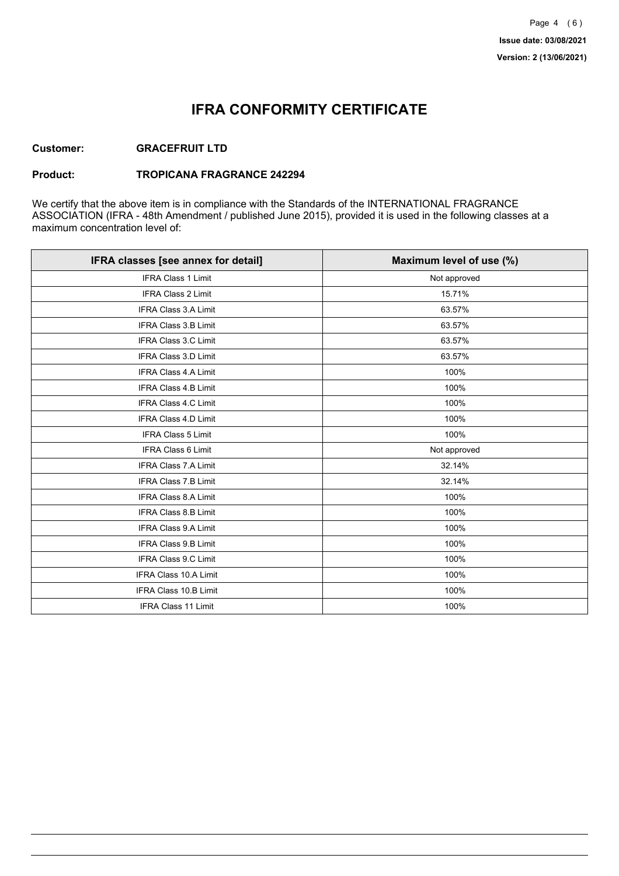## **IFRA CONFORMITY CERTIFICATE**

### **Customer: GRACEFRUIT LTD**

#### **Product: TROPICANA FRAGRANCE 242294**

We certify that the above item is in compliance with the Standards of the INTERNATIONAL FRAGRANCE ASSOCIATION (IFRA - 48th Amendment / published June 2015), provided it is used in the following classes at a maximum concentration level of:

| IFRA classes [see annex for detail] | Maximum level of use (%) |
|-------------------------------------|--------------------------|
| <b>IFRA Class 1 Limit</b>           | Not approved             |
| IFRA Class 2 Limit                  | 15.71%                   |
| <b>IFRA Class 3.A Limit</b>         | 63.57%                   |
| IFRA Class 3.B Limit                | 63.57%                   |
| <b>IFRA Class 3.C Limit</b>         | 63.57%                   |
| IFRA Class 3.D Limit                | 63.57%                   |
| <b>IFRA Class 4.A Limit</b>         | 100%                     |
| <b>IFRA Class 4.B Limit</b>         | 100%                     |
| <b>IFRA Class 4.C Limit</b>         | 100%                     |
| <b>IFRA Class 4.D Limit</b>         | 100%                     |
| <b>IFRA Class 5 Limit</b>           | 100%                     |
| IFRA Class 6 Limit                  | Not approved             |
| <b>IFRA Class 7.A Limit</b>         | 32.14%                   |
| <b>IFRA Class 7.B Limit</b>         | 32.14%                   |
| <b>IFRA Class 8.A Limit</b>         | 100%                     |
| IFRA Class 8.B Limit                | 100%                     |
| IFRA Class 9.A Limit                | 100%                     |
| <b>IFRA Class 9.B Limit</b>         | 100%                     |
| IFRA Class 9.C Limit                | 100%                     |
| IFRA Class 10.A Limit               | 100%                     |
| IFRA Class 10.B Limit               | 100%                     |
| <b>IFRA Class 11 Limit</b>          | 100%                     |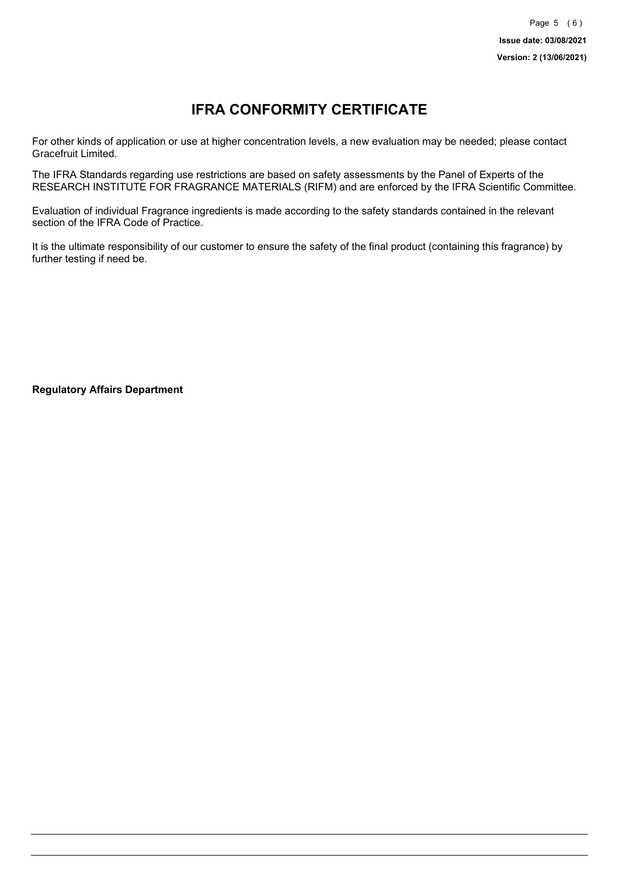# **IFRA CONFORMITY CERTIFICATE**

For other kinds of application or use at higher concentration levels, a new evaluation may be needed; please contact Gracefruit Limited.

The IFRA Standards regarding use restrictions are based on safety assessments by the Panel of Experts of the RESEARCH INSTITUTE FOR FRAGRANCE MATERIALS (RIFM) and are enforced by the IFRA Scientific Committee.

Evaluation of individual Fragrance ingredients is made according to the safety standards contained in the relevant section of the IFRA Code of Practice.

It is the ultimate responsibility of our customer to ensure the safety of the final product (containing this fragrance) by further testing if need be.

**Regulatory Affairs Department**